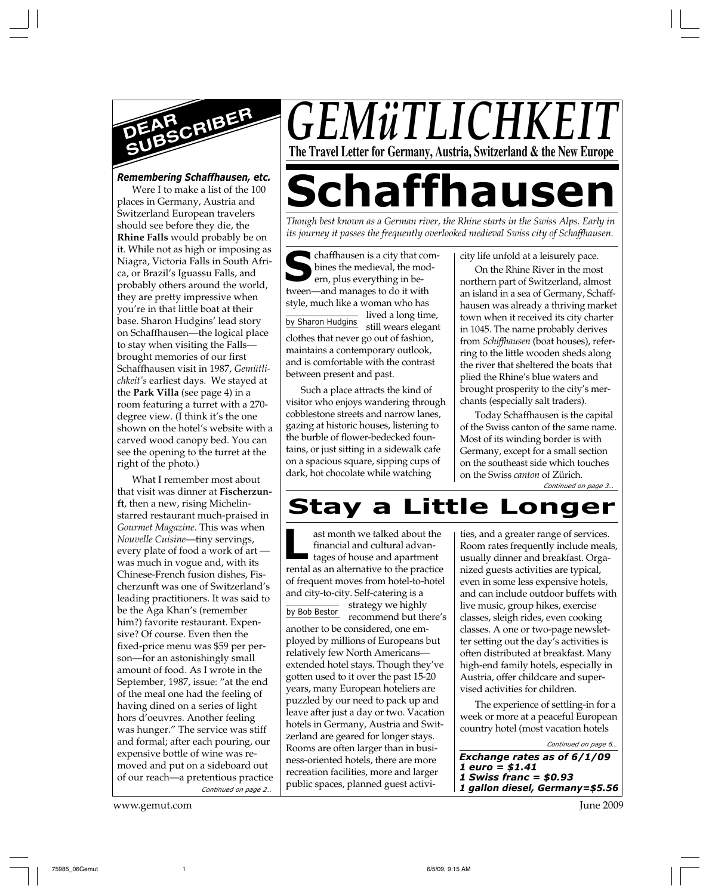

# *Remembering Schaffhausen, etc.*

Were I to make a list of the 100 places in Germany, Austria and Switzerland European travelers should see before they die, the **Rhine Falls** would probably be on it. While not as high or imposing as Niagra, Victoria Falls in South Africa, or Brazil's Iguassu Falls, and probably others around the world, they are pretty impressive when you're in that little boat at their base. Sharon Hudgins' lead story on Schaffhausen—the logical place to stay when visiting the Falls brought memories of our first Schaffhausen visit in 1987, *Gemütlichkeit's* earliest days. We stayed at the **Park Villa** (see page 4) in a room featuring a turret with a 270 degree view. (I think it's the one shown on the hotel's website with a carved wood canopy bed. You can see the opening to the turret at the right of the photo.)

*Continued on page 2…* What I remember most about that visit was dinner at **Fischerzunft**, then a new, rising Michelinstarred restaurant much-praised in *Gourmet Magazine*. This was when *Nouvelle Cuisine*—tiny servings, every plate of food a work of art was much in vogue and, with its Chinese-French fusion dishes, Fischerzunft was one of Switzerland's leading practitioners. It was said to be the Aga Khan's (remember him?) favorite restaurant. Expensive? Of course. Even then the fixed-price menu was \$59 per person—for an astonishingly small amount of food. As I wrote in the September, 1987, issue: "at the end of the meal one had the feeling of having dined on a series of light hors d'oeuvres. Another feeling was hunger." The service was stiff and formal; after each pouring, our expensive bottle of wine was removed and put on a sideboard out of our reach—a pretentious practice

www.gemut.com June 2009

*GEMüTLICHK* **The Travel Letter for Germany, Austria, Switzerland & the New Europe**

# **Schaffhausen**

*Though best known as a German river, the Rhine starts in the Swiss Alps. Early in its journey it passes the frequently overlooked medieval Swiss city of Schaffhausen.*

**S** by Sharon Hudgins lived a long time, chaffhausen is a city that combines the medieval, the modern, plus everything in between—and manages to do it with style, much like a woman who has still wears elegant clothes that never go out of fashion, maintains a contemporary outlook, and is comfortable with the contrast between present and past.

Such a place attracts the kind of visitor who enjoys wandering through cobblestone streets and narrow lanes, gazing at historic houses, listening to the burble of flower-bedecked fountains, or just sitting in a sidewalk cafe on a spacious square, sipping cups of dark, hot chocolate while watching

city life unfold at a leisurely pace.

On the Rhine River in the most northern part of Switzerland, almost an island in a sea of Germany, Schaffhausen was already a thriving market town when it received its city charter in 1045. The name probably derives from *Schiffhausen* (boat houses), referring to the little wooden sheds along the river that sheltered the boats that plied the Rhine's blue waters and brought prosperity to the city's merchants (especially salt traders).

*Continued on page 3…* Today Schaffhausen is the capital of the Swiss canton of the same name. Most of its winding border is with Germany, except for a small section on the southeast side which touches on the Swiss *canton* of Zürich.

# **Stay a Little Longer**

**L** ast month we talked about the financial and cultural advantages of house and apartment rental as an alternative to the practice of frequent moves from hotel-to-hotel and city-to-city. Self-catering is a

by Bob Bestor strategy we highly recommend but there's another to be considered, one employed by millions of Europeans but relatively few North Americans extended hotel stays. Though they've gotten used to it over the past 15-20 years, many European hoteliers are puzzled by our need to pack up and leave after just a day or two. Vacation hotels in Germany, Austria and Switzerland are geared for longer stays. Rooms are often larger than in business-oriented hotels, there are more recreation facilities, more and larger public spaces, planned guest activi-

ties, and a greater range of services. Room rates frequently include meals, usually dinner and breakfast. Organized guests activities are typical, even in some less expensive hotels, and can include outdoor buffets with live music, group hikes, exercise classes, sleigh rides, even cooking classes. A one or two-page newsletter setting out the day's activities is often distributed at breakfast. Many high-end family hotels, especially in Austria, offer childcare and supervised activities for children.

The experience of settling-in for a week or more at a peaceful European country hotel (most vacation hotels

*Continued on page 6…*

*Exchange rates as of 6/1/09 1 euro = \$1.41 1 Swiss franc = \$0.93 1 gallon diesel, Germany=\$5.56*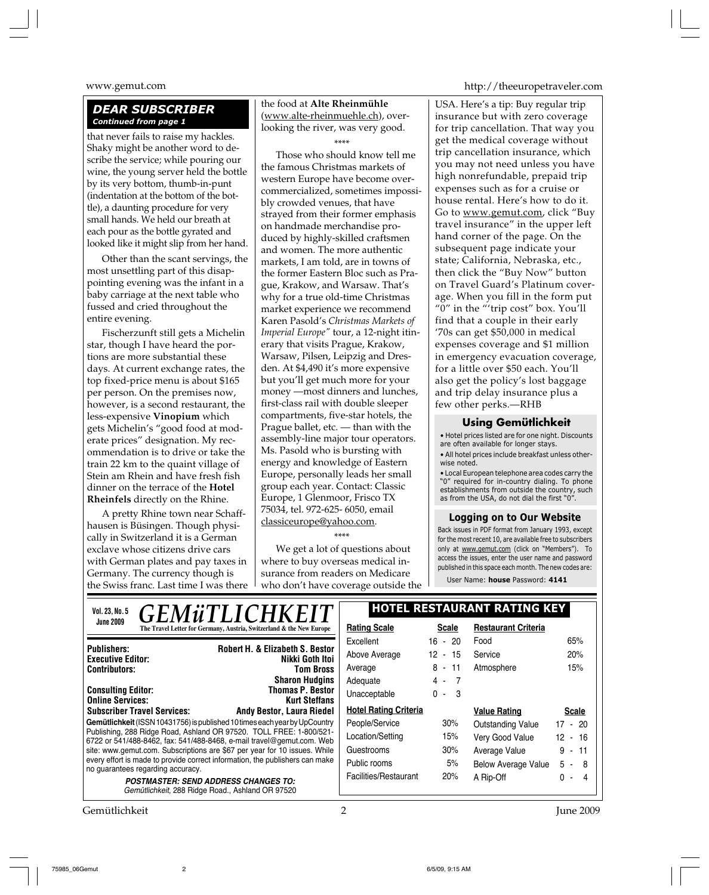# *DEAR SUBSCRIBER Continued from page 1*

that never fails to raise my hackles. Shaky might be another word to describe the service; while pouring our wine, the young server held the bottle by its very bottom, thumb-in-punt (indentation at the bottom of the bottle), a daunting procedure for very small hands. We held our breath at each pour as the bottle gyrated and looked like it might slip from her hand.

Other than the scant servings, the most unsettling part of this disappointing evening was the infant in a baby carriage at the next table who fussed and cried throughout the entire evening.

Fischerzunft still gets a Michelin star, though I have heard the portions are more substantial these days. At current exchange rates, the top fixed-price menu is about \$165 per person. On the premises now, however, is a second restaurant, the less-expensive **Vinopium** which gets Michelin's "good food at moderate prices" designation. My recommendation is to drive or take the train 22 km to the quaint village of Stein am Rhein and have fresh fish dinner on the terrace of the **Hotel Rheinfels** directly on the Rhine.

A pretty Rhine town near Schaffhausen is Büsingen. Though physically in Switzerland it is a German exclave whose citizens drive cars with German plates and pay taxes in Germany. The currency though is the Swiss franc. Last time I was there

the food at **Alte Rheinmühle** (www.alte-rheinmuehle.ch), overlooking the river, was very good. \*\*\*\*

Those who should know tell me the famous Christmas markets of western Europe have become overcommercialized, sometimes impossibly crowded venues, that have strayed from their former emphasis on handmade merchandise produced by highly-skilled craftsmen and women. The more authentic markets, I am told, are in towns of the former Eastern Bloc such as Prague, Krakow, and Warsaw. That's why for a true old-time Christmas market experience we recommend Karen Pasold's *Christmas Markets of Imperial Europe"* tour, a 12-night itinerary that visits Prague, Krakow, Warsaw, Pilsen, Leipzig and Dresden. At \$4,490 it's more expensive but you'll get much more for your money —most dinners and lunches, first-class rail with double sleeper compartments, five-star hotels, the Prague ballet, etc. — than with the assembly-line major tour operators. Ms. Pasold who is bursting with energy and knowledge of Eastern Europe, personally leads her small group each year. Contact: Classic Europe, 1 Glenmoor, Frisco TX 75034, tel. 972-625- 6050, email classiceurope@yahoo.com.

\*\*\*\*

We get a lot of questions about where to buy overseas medical insurance from readers on Medicare who don't have coverage outside the

www.gemut.com http://theeuropetraveler.com

USA. Here's a tip: Buy regular trip insurance but with zero coverage for trip cancellation. That way you get the medical coverage without trip cancellation insurance, which you may not need unless you have high nonrefundable, prepaid trip expenses such as for a cruise or house rental. Here's how to do it. Go to www.gemut.com, click "Buy travel insurance" in the upper left hand corner of the page. On the subsequent page indicate your state; California, Nebraska, etc., then click the "Buy Now" button on Travel Guard's Platinum coverage. When you fill in the form put "0" in the "'trip cost" box. You'll find that a couple in their early '70s can get \$50,000 in medical expenses coverage and \$1 million in emergency evacuation coverage, for a little over \$50 each. You'll also get the policy's lost baggage and trip delay insurance plus a few other perks.—RHB

# **Using Gemütlichkeit**

• Hotel prices listed are for one night. Discounts are often available for longer stays. • All hotel prices include breakfast unless other-

wise noted. • Local European telephone area codes carry the

"0" required for in-country dialing. To phone establishments from outside the country, such as from the USA, do not dial the first "0".

# **Logging on to Our Website**

Back issues in PDF format from January 1993, except for the most recent 10, are available free to subscribers only at www.gemut.com (click on "Members"). To access the issues, enter the user name and password published in this space each month. The new codes are:

User Name: **house** Password: **4141**

| <b>GEMÜTLICHKEIT</b><br>Vol. 23, No. 5                                                                                                           | <b>HOTEL RESTAURANT RATING KEY</b> |                       |                            |              |
|--------------------------------------------------------------------------------------------------------------------------------------------------|------------------------------------|-----------------------|----------------------------|--------------|
| <b>June 2009</b><br>The Travel Letter for Germany, Austria, Switzerland & the New Europe                                                         | <b>Rating Scale</b>                | <b>Scale</b>          | <b>Restaurant Criteria</b> |              |
| Robert H. & Elizabeth S. Bestor<br><b>Publishers:</b><br>Nikki Goth Itoi<br><b>Executive Editor:</b><br><b>Contributors:</b><br><b>Tom Bross</b> | Excellent                          | $16 - 20$             | Food                       | 65%          |
|                                                                                                                                                  | Above Average                      | 12 - 15               | Service                    | 20%          |
|                                                                                                                                                  | Average                            | $8 - 11$              | Atmosphere                 | 15%          |
| <b>Sharon Hudgins</b>                                                                                                                            | Adequate                           | 4 -<br>$\overline{7}$ |                            |              |
| <b>Thomas P. Bestor</b><br><b>Consulting Editor:</b><br><b>Online Services:</b><br><b>Kurt Steffans</b>                                          | Unacceptable                       | $0 - 3$               |                            |              |
| <b>Subscriber Travel Services:</b><br><b>Andy Bestor, Laura Riedel</b>                                                                           | <b>Hotel Rating Criteria</b>       |                       | <b>Value Rating</b>        | <b>Scale</b> |
| Gemütlichkeit (ISSN 10431756) is published 10 times each year by UpCountry                                                                       | People/Service                     | 30%                   | Outstanding Value          | $17 - 20$    |
| Publishing, 288 Ridge Road, Ashland OR 97520. TOLL FREE: 1-800/521-<br>6722 or 541/488-8462, fax: 541/488-8468, e-mail travel@gemut.com. Web     | Location/Setting                   | 15%                   | Very Good Value            | 12 - 16      |
| site: www.gemut.com. Subscriptions are \$67 per year for 10 issues. While                                                                        | Guestrooms                         | 30%                   | Average Value              | $9 - 11$     |
| every effort is made to provide correct information, the publishers can make<br>no guarantees regarding accuracy.                                | Public rooms                       | 5%                    | <b>Below Average Value</b> | $5 -$<br>- 8 |
| <b>POSTMASTER: SEND ADDRESS CHANGES TO:</b>                                                                                                      | Facilities/Restaurant              | 20%                   | A Rip-Off                  | 0 -<br>Δ     |
| Gemütlichkeit, 288 Ridge Road., Ashland OR 97520                                                                                                 |                                    |                       |                            |              |

Gemütlichkeit 2 June 2009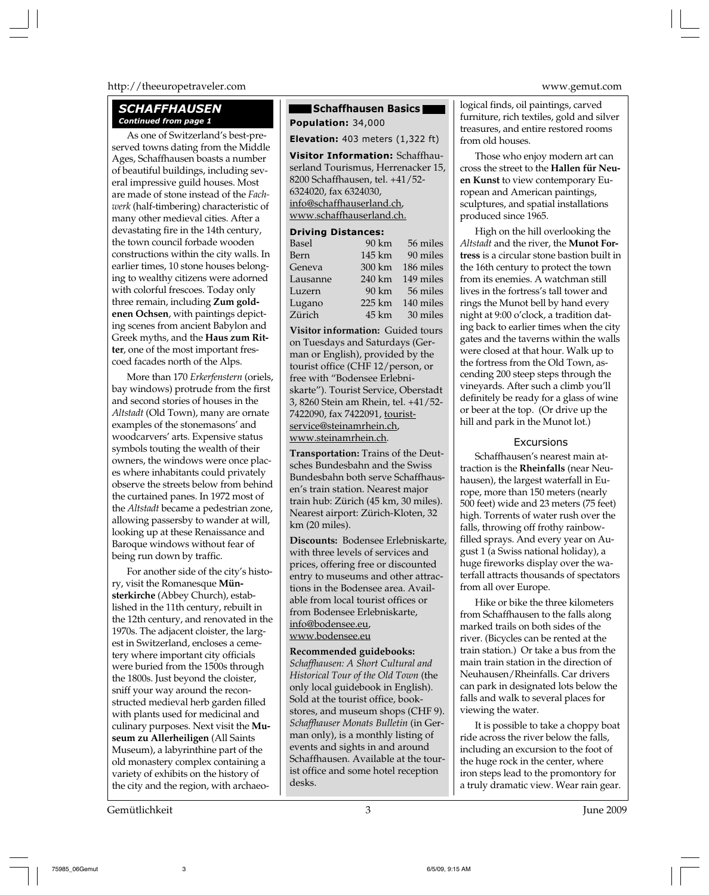# http://theeuropetraveler.com www.gemut.com

# *SCHAFFHAUSEN*

As one of Switzerland's best-preserved towns dating from the Middle Ages, Schaffhausen boasts a number of beautiful buildings, including several impressive guild houses. Most are made of stone instead of the *Fachwerk* (half-timbering) characteristic of many other medieval cities. After a devastating fire in the 14th century, the town council forbade wooden constructions within the city walls. In earlier times, 10 stone houses belonging to wealthy citizens were adorned with colorful frescoes. Today only three remain, including **Zum goldenen Ochsen**, with paintings depicting scenes from ancient Babylon and Greek myths, and the **Haus zum Ritter**, one of the most important frescoed facades north of the Alps.

More than 170 *Erkerfenstern* (oriels, bay windows) protrude from the first and second stories of houses in the *Altstadt* (Old Town), many are ornate examples of the stonemasons' and woodcarvers' arts. Expensive status symbols touting the wealth of their owners, the windows were once places where inhabitants could privately observe the streets below from behind the curtained panes. In 1972 most of the *Altstadt* became a pedestrian zone, allowing passersby to wander at will, looking up at these Renaissance and Baroque windows without fear of being run down by traffic.

For another side of the city's history, visit the Romanesque **Münsterkirche** (Abbey Church), established in the 11th century, rebuilt in the 12th century, and renovated in the 1970s. The adjacent cloister, the largest in Switzerland, encloses a cemetery where important city officials were buried from the 1500s through the 1800s. Just beyond the cloister, sniff your way around the reconstructed medieval herb garden filled with plants used for medicinal and culinary purposes. Next visit the **Museum zu Allerheiligen** (All Saints Museum), a labyrinthine part of the old monastery complex containing a variety of exhibits on the history of the city and the region, with archaeo-

# **Schaffhausen Basics**

*Continued from page 1* **Population:** 34,000

**Elevation:** 403 meters (1,322 ft)

**Visitor Information:** Schaffhauserland Tourismus, Herrenacker 15, 8200 Schaffhausen, tel. +41/52- 6324020, fax 6324030, info@schaffhauserland.ch, www.schaffhauserland.ch.

# **Driving Distances:**

| Basel    | 90 km             | 56 miles  |
|----------|-------------------|-----------|
| Bern     | 145 km            | 90 miles  |
| Geneva   | 300 km            | 186 miles |
| Lausanne | 240 km            | 149 miles |
| Luzern   | 90 km             | 56 miles  |
| Lugano   | $225 \mathrm{km}$ | 140 miles |
| Zürich   | 45 km             | 30 miles  |

**Visitor information:** Guided tours on Tuesdays and Saturdays (German or English), provided by the tourist office (CHF 12/person, or free with "Bodensee Erlebniskarte"). Tourist Service, Oberstadt 3, 8260 Stein am Rhein, tel. +41/52- 7422090, fax 7422091, touristservice@steinamrhein.ch, www.steinamrhein.ch.

**Transportation:** Trains of the Deutsches Bundesbahn and the Swiss Bundesbahn both serve Schaffhausen's train station. Nearest major train hub: Zürich (45 km, 30 miles). Nearest airport: Zürich-Kloten, 32 km (20 miles).

**Discounts:** Bodensee Erlebniskarte, with three levels of services and prices, offering free or discounted entry to museums and other attractions in the Bodensee area. Available from local tourist offices or from Bodensee Erlebniskarte, info@bodensee.eu, www.bodensee.eu

**Recommended guidebooks:** *Schaffhausen: A Short Cultural and Historical Tour of the Old Town* (the only local guidebook in English). Sold at the tourist office, bookstores, and museum shops (CHF 9). *Schaffhauser Monats Bulletin* (in German only), is a monthly listing of events and sights in and around Schaffhausen. Available at the tourist office and some hotel reception desks.

logical finds, oil paintings, carved furniture, rich textiles, gold and silver treasures, and entire restored rooms from old houses.

Those who enjoy modern art can cross the street to the **Hallen für Neuen Kunst** to view contemporary European and American paintings, sculptures, and spatial installations produced since 1965.

High on the hill overlooking the *Altstadt* and the river, the **Munot Fortress** is a circular stone bastion built in the 16th century to protect the town from its enemies. A watchman still lives in the fortress's tall tower and rings the Munot bell by hand every night at 9:00 o'clock, a tradition dating back to earlier times when the city gates and the taverns within the walls were closed at that hour. Walk up to the fortress from the Old Town, ascending 200 steep steps through the vineyards. After such a climb you'll definitely be ready for a glass of wine or beer at the top. (Or drive up the hill and park in the Munot lot.)

# **Excursions**

Schaffhausen's nearest main attraction is the **Rheinfalls** (near Neuhausen), the largest waterfall in Europe, more than 150 meters (nearly 500 feet) wide and 23 meters (75 feet) high. Torrents of water rush over the falls, throwing off frothy rainbowfilled sprays. And every year on August 1 (a Swiss national holiday), a huge fireworks display over the waterfall attracts thousands of spectators from all over Europe.

Hike or bike the three kilometers from Schaffhausen to the falls along marked trails on both sides of the river. (Bicycles can be rented at the train station.) Or take a bus from the main train station in the direction of Neuhausen/Rheinfalls. Car drivers can park in designated lots below the falls and walk to several places for viewing the water.

It is possible to take a choppy boat ride across the river below the falls, including an excursion to the foot of the huge rock in the center, where iron steps lead to the promontory for a truly dramatic view. Wear rain gear.

Gemütlichkeit 3 June 2009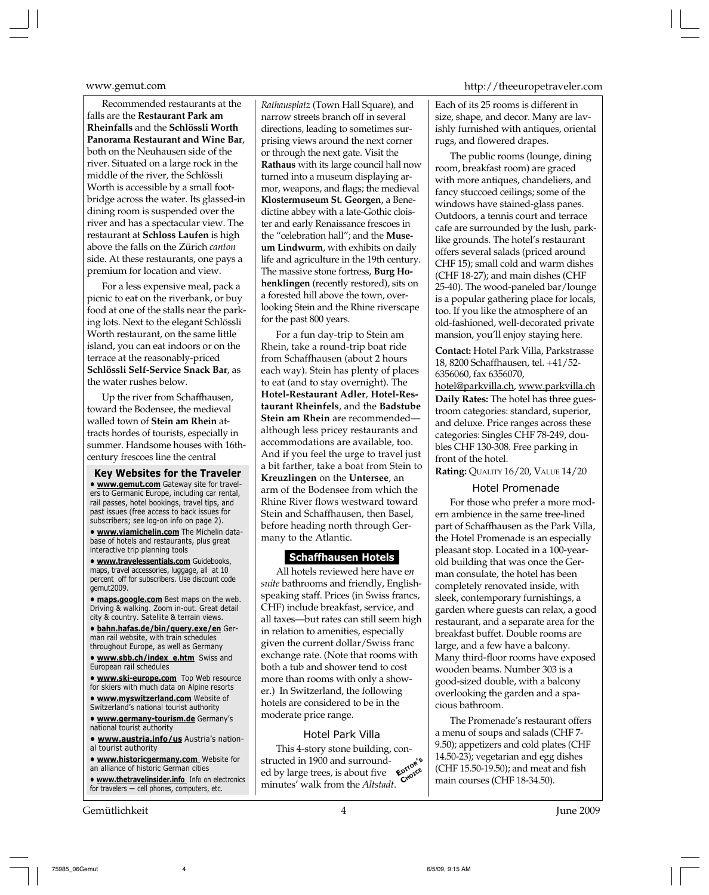Recommended restaurants at the falls are the **Restaurant Park am Rheinfalls** and the **Schlössli Worth Panorama Restaurant and Wine Bar**, both on the Neuhausen side of the river. Situated on a large rock in the middle of the river, the Schlössli Worth is accessible by a small footbridge across the water. Its glassed-in dining room is suspended over the river and has a spectacular view. The restaurant at **Schloss Laufen** is high above the falls on the Zürich *canton* side. At these restaurants, one pays a premium for location and view.

For a less expensive meal, pack a picnic to eat on the riverbank, or buy food at one of the stalls near the parking lots. Next to the elegant Schlössli Worth restaurant, on the same little island, you can eat indoors or on the terrace at the reasonably-priced **Schlössli Self-Service Snack Bar**, as the water rushes below.

Up the river from Schaffhausen, toward the Bodensee, the medieval walled town of **Stein am Rhein** attracts hordes of tourists, especially in summer. Handsome houses with 16thcentury frescoes line the central

**Key Websites for the Traveler • www.gemut.com** Gateway site for travelers to Germanic Europe, including car rental, rail passes, hotel bookings, travel tips, and past issues (free access to back issues for subscribers; see log-on info on page 2).

**• www.viamichelin.com** The Michelin database of hotels and restaurants, plus great interactive trip planning tools

**• www.travelessentials.com** Guidebooks, maps, travel accessories, luggage, all at 10 percent off for subscribers. Use discount code gemut2009.

**• maps.google.com** Best maps on the web. Driving & walking. Zoom in-out. Great detail city & country. Satellite & terrain views.

**• bahn.hafas.de/bin/query.exe/en** German rail website, with train schedules throughout Europe, as well as Germany

**• www.sbb.ch/index\_e.htm** Swiss and European rail schedules

**• www.ski-europe.com** Top Web resource for skiers with much data on Alpine resorts

- **www.myswitzerland.com** Website of Switzerland's national tourist authority
- **www.germany-tourism.de** Germany's national tourist authority

**• www.austria.info/us** Austria's national tourist authority

**• www.historicgermany.com** Website for an alliance of historic German cities

**• www.thetravelinsider.info** Info on electronics for travelers — cell phones, computers, etc.

Gemütlichkeit 4 June 2009

*Rathausplatz* (Town Hall Square), and narrow streets branch off in several directions, leading to sometimes surprising views around the next corner or through the next gate. Visit the **Rathaus** with its large council hall now turned into a museum displaying armor, weapons, and flags; the medieval **Klostermuseum St. Georgen**, a Benedictine abbey with a late-Gothic cloister and early Renaissance frescoes in the "celebration hall"; and the **Museum Lindwurm**, with exhibits on daily life and agriculture in the 19th century. The massive stone fortress, **Burg Hohenklingen** (recently restored), sits on a forested hill above the town, overlooking Stein and the Rhine riverscape for the past 800 years.

For a fun day-trip to Stein am Rhein, take a round-trip boat ride from Schaffhausen (about 2 hours each way). Stein has plenty of places to eat (and to stay overnight). The **Hotel-Restaurant Adler**, **Hotel-Restaurant Rheinfels**, and the **Badstube Stein am Rhein** are recommended although less pricey restaurants and accommodations are available, too. And if you feel the urge to travel just a bit farther, take a boat from Stein to **Kreuzlingen** on the **Untersee**, an arm of the Bodensee from which the Rhine River flows westward toward Stein and Schaffhausen, then Basel, before heading north through Germany to the Atlantic.

# **Schaffhausen Hotels**

All hotels reviewed here have e*n suite* bathrooms and friendly, Englishspeaking staff. Prices (in Swiss francs, CHF) include breakfast, service, and all taxes—but rates can still seem high in relation to amenities, especially given the current dollar/Swiss franc exchange rate. (Note that rooms with both a tub and shower tend to cost more than rooms with only a shower.) In Switzerland, the following hotels are considered to be in the moderate price range.

# Hotel Park Villa

This 4-story stone building, constructed in 1900 and surrounded by large trees, is about five minutes' walk from the *Altstadt*. **EDITOR'<sup>S</sup> CHOICE**

# www.gemut.com http://theeuropetraveler.com

Each of its 25 rooms is different in size, shape, and decor. Many are lavishly furnished with antiques, oriental rugs, and flowered drapes.

The public rooms (lounge, dining room, breakfast room) are graced with more antiques, chandeliers, and fancy stuccoed ceilings; some of the windows have stained-glass panes. Outdoors, a tennis court and terrace cafe are surrounded by the lush, parklike grounds. The hotel's restaurant offers several salads (priced around CHF 15); small cold and warm dishes (CHF 18-27); and main dishes (CHF 25-40). The wood-paneled bar/lounge is a popular gathering place for locals, too. If you like the atmosphere of an old-fashioned, well-decorated private mansion, you'll enjoy staying here.

**Contact:** Hotel Park Villa, Parkstrasse 18, 8200 Schaffhausen, tel. +41/52- 6356060, fax 6356070,

hotel@parkvilla.ch, www.parkvilla.ch **Daily Rates:** The hotel has three guestroom categories: standard, superior, and deluxe. Price ranges across these categories: Singles CHF 78-249, doubles CHF 130-308. Free parking in front of the hotel.

**Rating:** QUALITY 16/20, VALUE 14/20

# Hotel Promenade

For those who prefer a more modern ambience in the same tree-lined part of Schaffhausen as the Park Villa, the Hotel Promenade is an especially pleasant stop. Located in a 100-yearold building that was once the German consulate, the hotel has been completely renovated inside, with sleek, contemporary furnishings, a garden where guests can relax, a good restaurant, and a separate area for the breakfast buffet. Double rooms are large, and a few have a balcony. Many third-floor rooms have exposed wooden beams. Number 303 is a good-sized double, with a balcony overlooking the garden and a spacious bathroom.

The Promenade's restaurant offers a menu of soups and salads (CHF 7- 9.50); appetizers and cold plates (CHF 14.50-23); vegetarian and egg dishes (CHF 15.50-19.50); and meat and fish main courses (CHF 18-34.50).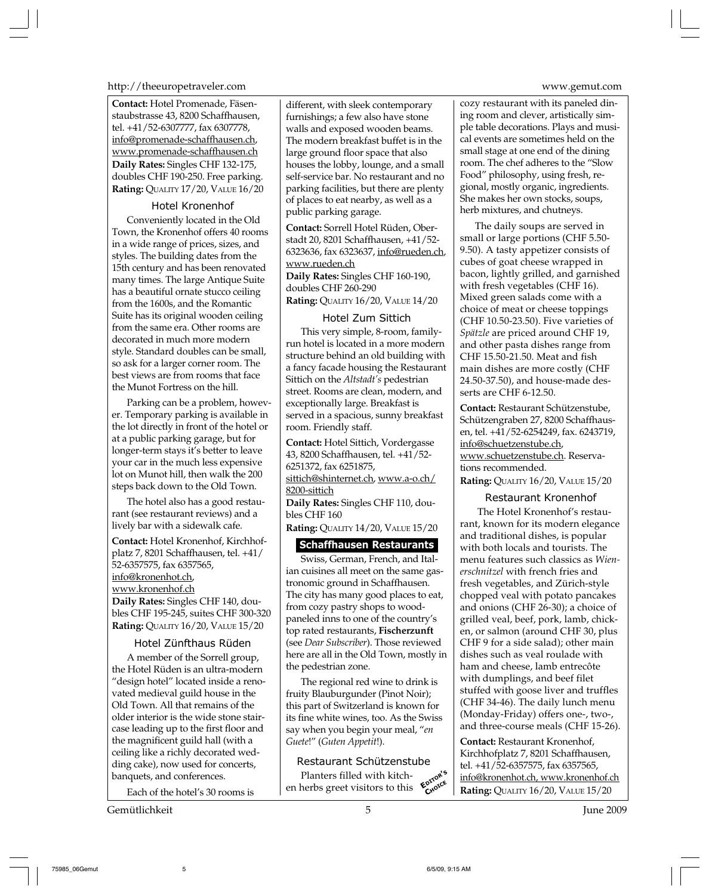http://theeuropetraveler.com www.gemut.com

**Contact:** Hotel Promenade, Fäsenstaubstrasse 43, 8200 Schaffhausen, tel. +41/52-6307777, fax 6307778, info@promenade-schaffhausen.ch, www.promenade-schaffhausen.ch **Daily Rates:** Singles CHF 132-175, doubles CHF 190-250. Free parking. **Rating:** QUALITY 17/20, VALUE 16/20

# Hotel Kronenhof

Conveniently located in the Old Town, the Kronenhof offers 40 rooms in a wide range of prices, sizes, and styles. The building dates from the 15th century and has been renovated many times. The large Antique Suite has a beautiful ornate stucco ceiling from the 1600s, and the Romantic Suite has its original wooden ceiling from the same era. Other rooms are decorated in much more modern style. Standard doubles can be small, so ask for a larger corner room. The best views are from rooms that face the Munot Fortress on the hill.

Parking can be a problem, however. Temporary parking is available in the lot directly in front of the hotel or at a public parking garage, but for longer-term stays it's better to leave your car in the much less expensive lot on Munot hill, then walk the 200 steps back down to the Old Town.

The hotel also has a good restaurant (see restaurant reviews) and a lively bar with a sidewalk cafe.

**Contact:** Hotel Kronenhof, Kirchhofplatz 7, 8201 Schaffhausen, tel. +41/ 52-6357575, fax 6357565, info@kronenhot.ch, www.kronenhof.ch **Daily Rates:** Singles CHF 140, doubles CHF 195-245, suites CHF 300-320 **Rating:** QUALITY 16/20, VALUE 15/20

# Hotel Zünfthaus Rüden

A member of the Sorrell group, the Hotel Rüden is an ultra-modern "design hotel" located inside a renovated medieval guild house in the Old Town. All that remains of the older interior is the wide stone staircase leading up to the first floor and the magnificent guild hall (with a ceiling like a richly decorated wedding cake), now used for concerts, banquets, and conferences.

Each of the hotel's 30 rooms is

Gemütlichkeit 5 June 2009

different, with sleek contemporary furnishings; a few also have stone walls and exposed wooden beams. The modern breakfast buffet is in the large ground floor space that also houses the lobby, lounge, and a small self-service bar. No restaurant and no parking facilities, but there are plenty of places to eat nearby, as well as a public parking garage.

**Contact:** Sorrell Hotel Rüden, Oberstadt 20, 8201 Schaffhausen, +41/52- 6323636, fax 6323637, info@rueden.ch, www.rueden.ch

**Daily Rates:** Singles CHF 160-190, doubles CHF 260-290 **Rating:** QUALITY 16/20, VALUE 14/20

# Hotel Zum Sittich

This very simple, 8-room, familyrun hotel is located in a more modern structure behind an old building with a fancy facade housing the Restaurant Sittich on the *Altstadt's* pedestrian street. Rooms are clean, modern, and exceptionally large. Breakfast is served in a spacious, sunny breakfast room. Friendly staff.

**Contact:** Hotel Sittich, Vordergasse 43, 8200 Schaffhausen, tel. +41/52- 6251372, fax 6251875, sittich@shinternet.ch, www.a-o.ch/ 8200-sittich **Daily Rates:** Singles CHF 110, dou-

bles CHF 160

**Rating:** QUALITY 14/20, VALUE 15/20

# **Schaffhausen Restaurants**

Swiss, German, French, and Italian cuisines all meet on the same gastronomic ground in Schaffhausen. The city has many good places to eat, from cozy pastry shops to woodpaneled inns to one of the country's top rated restaurants, **Fischerzunft** (see *Dear Subscriber*). Those reviewed here are all in the Old Town, mostly in the pedestrian zone.

The regional red wine to drink is fruity Blauburgunder (Pinot Noir); this part of Switzerland is known for its fine white wines, too. As the Swiss say when you begin your meal, "*en Guete*!" (*Guten Appetit*!).

# Restaurant Schützenstube

Planters filled with kitchen herbs greet visitors to this  $\epsilon_{\text{Cov}}^{\text{opt}}$ 

cozy restaurant with its paneled dining room and clever, artistically simple table decorations. Plays and musical events are sometimes held on the small stage at one end of the dining room. The chef adheres to the "Slow Food" philosophy, using fresh, regional, mostly organic, ingredients. She makes her own stocks, soups, herb mixtures, and chutneys.

The daily soups are served in small or large portions (CHF 5.50- 9.50). A tasty appetizer consists of cubes of goat cheese wrapped in bacon, lightly grilled, and garnished with fresh vegetables (CHF 16). Mixed green salads come with a choice of meat or cheese toppings (CHF 10.50-23.50). Five varieties of *Spätzle* are priced around CHF 19, and other pasta dishes range from CHF 15.50-21.50. Meat and fish main dishes are more costly (CHF 24.50-37.50), and house-made desserts are CHF 6-12.50.

**Contact:** Restaurant Schützenstube, Schützengraben 27, 8200 Schaffhausen, tel. +41/52-6254249, fax. 6243719, info@schuetzenstube.ch, www.schuetzenstube.ch. Reservations recommended. **Rating:** QUALITY 16/20, VALUE 15/20

# Restaurant Kronenhof

 The Hotel Kronenhof's restaurant, known for its modern elegance and traditional dishes, is popular with both locals and tourists. The menu features such classics as *Wienerschnitzel* with french fries and fresh vegetables, and Zürich-style chopped veal with potato pancakes and onions (CHF 26-30); a choice of grilled veal, beef, pork, lamb, chicken, or salmon (around CHF 30, plus CHF 9 for a side salad); other main dishes such as veal roulade with ham and cheese, lamb entrecôte with dumplings, and beef filet stuffed with goose liver and truffles (CHF 34-46). The daily lunch menu (Monday-Friday) offers one-, two-, and three-course meals (CHF 15-26).

**Contact:** Restaurant Kronenhof, Kirchhofplatz 7, 8201 Schaffhausen, tel. +41/52-6357575, fax 6357565, info@kronenhot.ch, www.kronenhof.ch **Rating:** QUALITY 16/20, VALUE 15/20 **<sup>E</sup>DITOR'<sup>S</sup>**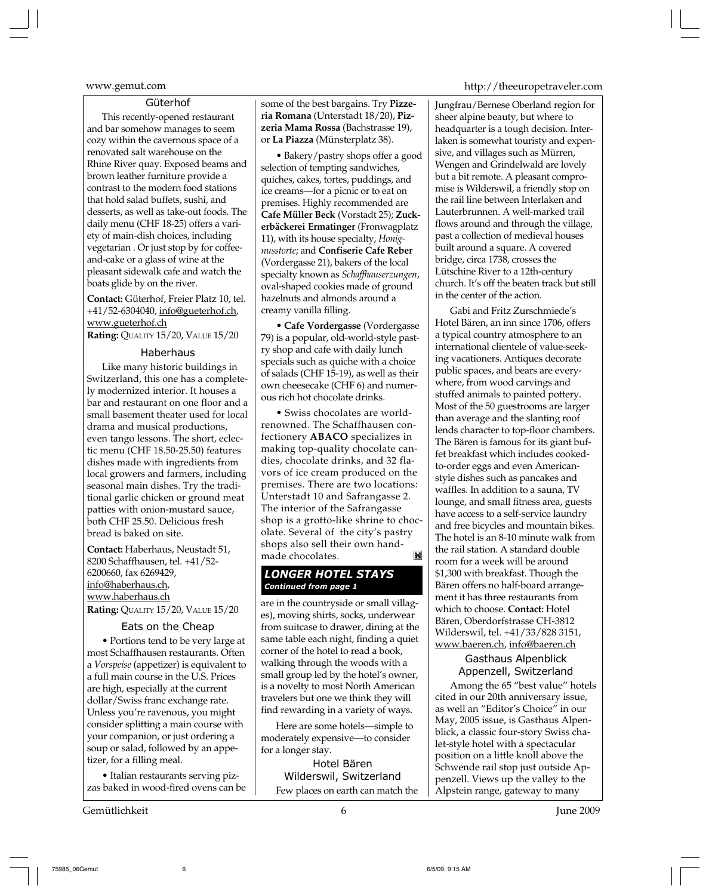# Güterhof

This recently-opened restaurant and bar somehow manages to seem cozy within the cavernous space of a renovated salt warehouse on the Rhine River quay. Exposed beams and brown leather furniture provide a contrast to the modern food stations that hold salad buffets, sushi, and desserts, as well as take-out foods. The daily menu (CHF 18-25) offers a variety of main-dish choices, including vegetarian . Or just stop by for coffeeand-cake or a glass of wine at the pleasant sidewalk cafe and watch the boats glide by on the river.

**Contact:** Güterhof, Freier Platz 10, tel. +41/52-6304040, info@gueterhof.ch, www.gueterhof.ch

**Rating:** QUALITY 15/20, VALUE 15/20

# Haberhaus

Like many historic buildings in Switzerland, this one has a completely modernized interior. It houses a bar and restaurant on one floor and a small basement theater used for local drama and musical productions, even tango lessons. The short, eclectic menu (CHF 18.50-25.50) features dishes made with ingredients from local growers and farmers, including seasonal main dishes. Try the traditional garlic chicken or ground meat patties with onion-mustard sauce, both CHF 25.50. Delicious fresh bread is baked on site.

**Contact:** Haberhaus, Neustadt 51, 8200 Schaffhausen, tel. +41/52- 6200660, fax 6269429, info@haberhaus.ch, www.haberhaus.ch **Rating:** QUALITY 15/20, VALUE 15/20

### Eats on the Cheap

**•** Portions tend to be very large at most Schaffhausen restaurants. Often a *Vorspeise* (appetizer) is equivalent to a full main course in the U.S. Prices are high, especially at the current dollar/Swiss franc exchange rate. Unless you're ravenous, you might consider splitting a main course with your companion, or just ordering a soup or salad, followed by an appetizer, for a filling meal.

**•** Italian restaurants serving pizzas baked in wood-fired ovens can be

Gemütlichkeit 6 June 2009

some of the best bargains. Try **Pizzeria Romana** (Unterstadt 18/20), **Pizzeria Mama Rossa** (Bachstrasse 19), or **La Piazza** (Münsterplatz 38).

**•** Bakery/pastry shops offer a good selection of tempting sandwiches, quiches, cakes, tortes, puddings, and ice creams—for a picnic or to eat on premises. Highly recommended are **Cafe Müller Beck** (Vorstadt 25); **Zuckerbäckerei Ermatinger** (Fronwagplatz 11), with its house specialty, *Honignusstorte*; and **Confiserie Cafe Reber** (Vordergasse 21), bakers of the local specialty known as *Schaffhauserzungen*, oval-shaped cookies made of ground hazelnuts and almonds around a creamy vanilla filling.

• **Cafe Vordergasse** (Vordergasse 79) is a popular, old-world-style pastry shop and cafe with daily lunch specials such as quiche with a choice of salads (CHF 15-19), as well as their own cheesecake (CHF 6) and numerous rich hot chocolate drinks.

• Swiss chocolates are worldrenowned. The Schaffhausen confectionery **ABACO** specializes in making top-quality chocolate candies, chocolate drinks, and 32 flavors of ice cream produced on the premises. There are two locations: Unterstadt 10 and Safrangasse 2. The interior of the Safrangasse shop is a grotto-like shrine to chocolate. Several of the city's pastry shops also sell their own hand- $\mathbf{K}$ made chocolates.

# *LONGER HOTEL STAYS Continued from page 1*

are in the countryside or small villages), moving shirts, socks, underwear from suitcase to drawer, dining at the same table each night, finding a quiet corner of the hotel to read a book, walking through the woods with a small group led by the hotel's owner, is a novelty to most North American travelers but one we think they will find rewarding in a variety of ways.

Here are some hotels—simple to moderately expensive—to consider for a longer stay.

Hotel Bären Wilderswil, Switzerland Few places on earth can match the

# www.gemut.com http://theeuropetraveler.com

Jungfrau/Bernese Oberland region for sheer alpine beauty, but where to headquarter is a tough decision. Interlaken is somewhat touristy and expensive, and villages such as Mürren, Wengen and Grindelwald are lovely but a bit remote. A pleasant compromise is Wilderswil, a friendly stop on the rail line between Interlaken and Lauterbrunnen. A well-marked trail flows around and through the village, past a collection of medieval houses built around a square. A covered bridge, circa 1738, crosses the Lütschine River to a 12th-century church. It's off the beaten track but still in the center of the action.

Gabi and Fritz Zurschmiede's Hotel Bären, an inn since 1706, offers a typical country atmosphere to an international clientele of value-seeking vacationers. Antiques decorate public spaces, and bears are everywhere, from wood carvings and stuffed animals to painted pottery. Most of the 50 guestrooms are larger than average and the slanting roof lends character to top-floor chambers. The Bären is famous for its giant buffet breakfast which includes cookedto-order eggs and even Americanstyle dishes such as pancakes and waffles. In addition to a sauna, TV lounge, and small fitness area, guests have access to a self-service laundry and free bicycles and mountain bikes. The hotel is an 8-10 minute walk from the rail station. A standard double room for a week will be around \$1,300 with breakfast. Though the Bären offers no half-board arrangement it has three restaurants from which to choose. **Contact:** Hotel Bären, Oberdorfstrasse CH-3812 Wilderswil, tel. +41/33/828 3151, www.baeren.ch, info@baeren.ch

# Gasthaus Alpenblick Appenzell, Switzerland

Among the 65 "best value" hotels cited in our 20th anniversary issue, as well an "Editor's Choice" in our May, 2005 issue, is Gasthaus Alpenblick, a classic four-story Swiss chalet-style hotel with a spectacular position on a little knoll above the Schwende rail stop just outside Appenzell. Views up the valley to the Alpstein range, gateway to many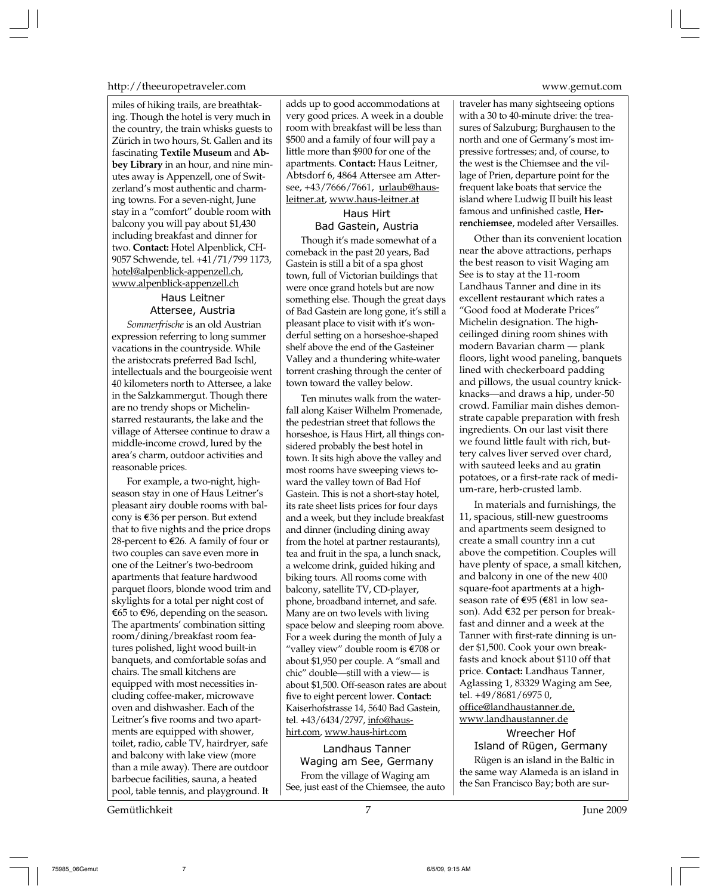# http://theeuropetraveler.com www.gemut.com

miles of hiking trails, are breathtaking. Though the hotel is very much in the country, the train whisks guests to Zürich in two hours, St. Gallen and its fascinating **Textile Museum** and **Abbey Library** in an hour, and nine minutes away is Appenzell, one of Switzerland's most authentic and charming towns. For a seven-night, June stay in a "comfort" double room with balcony you will pay about \$1,430 including breakfast and dinner for two. **Contact:** Hotel Alpenblick, CH-9057 Schwende, tel. +41/71/799 1173, hotel@alpenblick-appenzell.ch, www.alpenblick-appenzell.ch

# Haus Leitner Attersee, Austria

*Sommerfrische* is an old Austrian expression referring to long summer vacations in the countryside. While the aristocrats preferred Bad Ischl, intellectuals and the bourgeoisie went 40 kilometers north to Attersee, a lake in the Salzkammergut. Though there are no trendy shops or Michelinstarred restaurants, the lake and the village of Attersee continue to draw a middle-income crowd, lured by the area's charm, outdoor activities and reasonable prices.

For example, a two-night, highseason stay in one of Haus Leitner's pleasant airy double rooms with balcony is  $\epsilon$ 36 per person. But extend that to five nights and the price drops 28-percent to  $\epsilon$ 26. A family of four or two couples can save even more in one of the Leitner's two-bedroom apartments that feature hardwood parquet floors, blonde wood trim and skylights for a total per night cost of €65 to €96, depending on the season. The apartments' combination sitting room/dining/breakfast room features polished, light wood built-in banquets, and comfortable sofas and chairs. The small kitchens are equipped with most necessities including coffee-maker, microwave oven and dishwasher. Each of the Leitner's five rooms and two apartments are equipped with shower, toilet, radio, cable TV, hairdryer, safe and balcony with lake view (more than a mile away). There are outdoor barbecue facilities, sauna, a heated pool, table tennis, and playground. It

adds up to good accommodations at very good prices. A week in a double room with breakfast will be less than \$500 and a family of four will pay a little more than \$900 for one of the apartments. **Contact:** Haus Leitner, Abtsdorf 6, 4864 Attersee am Attersee, +43/7666/7661, urlaub@hausleitner.at, www.haus-leitner.at

# Haus Hirt

Bad Gastein, Austria Though it's made somewhat of a comeback in the past 20 years, Bad Gastein is still a bit of a spa ghost town, full of Victorian buildings that were once grand hotels but are now something else. Though the great days of Bad Gastein are long gone, it's still a pleasant place to visit with it's wonderful setting on a horseshoe-shaped shelf above the end of the Gasteiner Valley and a thundering white-water torrent crashing through the center of town toward the valley below.

Ten minutes walk from the waterfall along Kaiser Wilhelm Promenade, the pedestrian street that follows the horseshoe, is Haus Hirt, all things considered probably the best hotel in town. It sits high above the valley and most rooms have sweeping views toward the valley town of Bad Hof Gastein. This is not a short-stay hotel, its rate sheet lists prices for four days and a week, but they include breakfast and dinner (including dining away from the hotel at partner restaurants), tea and fruit in the spa, a lunch snack, a welcome drink, guided hiking and biking tours. All rooms come with balcony, satellite TV, CD-player, phone, broadband internet, and safe. Many are on two levels with living space below and sleeping room above. For a week during the month of July a "valley view" double room is E708 or about \$1,950 per couple. A "small and chic" double—still with a view— is about \$1,500. Off-season rates are about five to eight percent lower. **Contact:** Kaiserhofstrasse 14, 5640 Bad Gastein, tel. +43/6434/2797, info@haushirt.com, www.haus-hirt.com

Landhaus Tanner Waging am See, Germany From the village of Waging am See, just east of the Chiemsee, the auto

traveler has many sightseeing options with a 30 to 40-minute drive: the treasures of Salzuburg; Burghausen to the north and one of Germany's most impressive fortresses; and, of course, to the west is the Chiemsee and the village of Prien, departure point for the frequent lake boats that service the island where Ludwig II built his least famous and unfinished castle, **Herrenchiemsee**, modeled after Versailles.

Other than its convenient location near the above attractions, perhaps the best reason to visit Waging am See is to stay at the 11-room Landhaus Tanner and dine in its excellent restaurant which rates a "Good food at Moderate Prices" Michelin designation. The highceilinged dining room shines with modern Bavarian charm — plank floors, light wood paneling, banquets lined with checkerboard padding and pillows, the usual country knickknacks—and draws a hip, under-50 crowd. Familiar main dishes demonstrate capable preparation with fresh ingredients. On our last visit there we found little fault with rich, buttery calves liver served over chard, with sauteed leeks and au gratin potatoes, or a first-rate rack of medium-rare, herb-crusted lamb.

In materials and furnishings, the 11, spacious, still-new guestrooms and apartments seem designed to create a small country inn a cut above the competition. Couples will have plenty of space, a small kitchen, and balcony in one of the new 400 square-foot apartments at a highseason rate of  $\epsilon$ 95 ( $\epsilon$ 81 in low season). Add €32 per person for breakfast and dinner and a week at the Tanner with first-rate dinning is under \$1,500. Cook your own breakfasts and knock about \$110 off that price. **Contact:** Landhaus Tanner, Aglassing 1, 83329 Waging am See, tel. +49/8681/6975 0, office@landhaustanner.de, www.landhaustanner.de

# Wreecher Hof Island of Rügen, Germany Rügen is an island in the Baltic in the same way Alameda is an island in

the San Francisco Bay; both are sur-

Gemütlichkeit June 2009